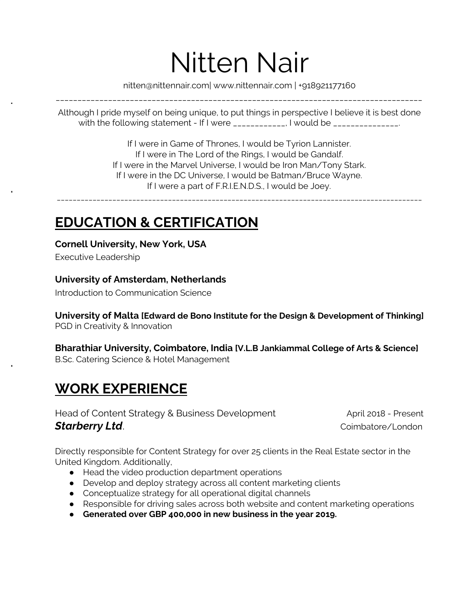# Nitten Nair

[nitten@nittennair.com](mailto:nitten@nittennair.com)| [www.nittennair.com](http://www.nittennair.com/) | +918921177160 \_\_\_\_\_\_\_\_\_\_\_\_\_\_\_\_\_\_\_\_\_\_\_\_\_\_\_\_\_\_\_\_\_\_\_\_\_\_\_\_\_\_\_\_\_\_\_\_\_\_\_\_\_\_\_\_\_\_\_\_\_\_\_\_\_\_\_\_\_\_\_\_\_\_\_\_\_\_\_\_\_\_\_\_

Although I pride myself on being unique, to put things in perspective I believe it is best done with the following statement - If I were \_\_\_\_\_\_\_\_\_\_\_, I would be \_\_\_\_\_\_\_\_\_\_\_\_\_\_.

> If I were in Game of Thrones, I would be Tyrion Lannister. If I were in The Lord of the Rings, I would be Gandalf. If I were in the Marvel Universe, I would be Iron Man/Tony Stark. If I were in the DC Universe, I would be Batman/Bruce Wayne. If I were a part of F.R.I.E.N.D.S., I would be Joey.

\_\_\_\_\_\_\_\_\_\_\_\_\_\_\_\_\_\_\_\_\_\_\_\_\_\_\_\_\_\_\_\_\_\_\_\_\_\_\_\_\_\_\_\_\_\_\_\_\_\_\_\_\_\_\_\_\_\_\_\_\_\_\_\_\_\_\_\_\_\_\_\_\_\_\_\_\_\_\_\_\_\_\_\_\_\_\_\_\_\_\_\_

# **EDUCATION & CERTIFICATION**

**Cornell University, New York, USA**

Executive Leadership

### **University of Amsterdam, Netherlands**

Introduction to Communication Science

**University of Malta [Edward de Bono Institute for the Design & Development of Thinking]** PGD in Creativity & Innovation

**Bharathiar University, Coimbatore, India [V.L.B Jankiammal College of Arts & Science]** B.Sc. Catering Science & Hotel Management

# **WORK EXPERIENCE**

Head of Content Strategy & Business Development April 2018 - Present **Starberry Ltd**. **Combatore/London Starberry Ltd**.

Directly responsible for Content Strategy for over 25 clients in the Real Estate sector in the United Kingdom. Additionally,

- Head the video production department operations
- Develop and deploy strategy across all content marketing clients
- Conceptualize strategy for all operational digital channels
- Responsible for driving sales across both website and content marketing operations
- **● Generated over GBP 400,000 in new business in the year 2019.**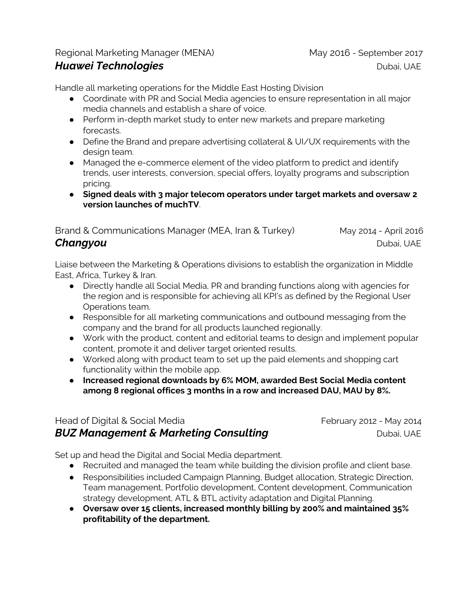### Regional Marketing Manager (MENA) May 2016 - September 2017

*Huawei**Technologies* Dubai, UAE

Handle all marketing operations for the Middle East Hosting Division

- Coordinate with PR and Social Media agencies to ensure representation in all major media channels and establish a share of voice.
- Perform in-depth market study to enter new markets and prepare marketing forecasts.
- Define the Brand and prepare advertising collateral & UI/UX requirements with the design team.
- Managed the e-commerce element of the video platform to predict and identify trends, user interests, conversion, special offers, loyalty programs and subscription pricing.
- **Signed deals with 3 major telecom operators under target markets and oversaw 2 version launches of muchTV**.

Brand & Communications Manager (MEA, Iran & Turkey) May 2014 - April 2016 **Changyou** Dubai, UAE

Liaise between the Marketing & Operations divisions to establish the organization in Middle East, Africa, Turkey & Iran.

- Directly handle all Social Media, PR and branding functions along with agencies for the region and is responsible for achieving all KPI's as defined by the Regional User Operations team.
- Responsible for all marketing communications and outbound messaging from the company and the brand for all products launched regionally.
- Work with the product, content and editorial teams to design and implement popular content, promote it and deliver target oriented results.
- Worked along with product team to set up the paid elements and shopping cart functionality within the mobile app.
- **● Increased regional downloads by 6% MOM, awarded Best Social Media content among 8 regional offices 3 months in a row and increased DAU, MAU by 8%.**

### Head of Digital & Social Media February 2012 - May 2014 *BUZ* **Management & Marketing Consulting** *Consulting* **Dubai, UAE**

Set up and head the Digital and Social Media department.

- Recruited and managed the team while building the division profile and client base.
- Responsibilities included Campaign Planning, Budget allocation, Strategic Direction, Team management, Portfolio development, Content development, Communication strategy development, ATL & BTL activity adaptation and Digital Planning.
- **● Oversaw over 15 clients, increased monthly billing by 200% and maintained 35% profitability of the department.**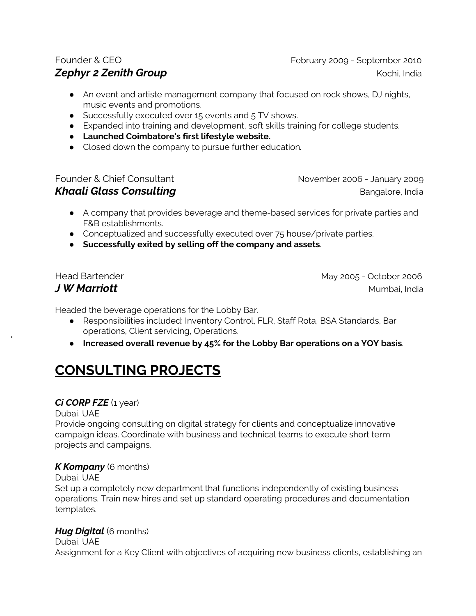Founder & CEO February 2009 - September 2010 *Zephyr 2 Zenith Group* Kochi, India

- An event and artiste management company that focused on rock shows, DJ nights, music events and promotions.
- Successfully executed over 15 events and 5 TV shows.
- Expanded into training and development, soft skills training for college students.
- **● Launched Coimbatore's first lifestyle website.**
- **●** Closed down the company to pursue further education*.*

Founder & Chief Consultant November 2006 - January 2009 *Khaali Glass Consulting* Bangalore, India

- A company that provides beverage and theme-based services for private parties and F&B establishments.
- Conceptualized and successfully executed over 75 house/private parties.
- **Successfully exited by selling off the company and assets**.

Head Bartender May 2005 - October 2006 *J W* Marriott Mumbai, India

Headed the beverage operations for the Lobby Bar.

- Responsibilities included: Inventory Control, FLR, Staff Rota, BSA Standards, Bar operations, Client servicing, Operations.
- **Increased overall revenue by 45% for the Lobby Bar operations on a YOY basis**.

# **CONSULTING PROJECTS**

### *Ci CORP FZE* (1 year)

Dubai, UAE

Provide ongoing consulting on digital strategy for clients and conceptualize innovative campaign ideas. Coordinate with business and technical teams to execute short term projects and campaigns.

### *K Kompany* (6 months)

### Dubai, UAE

Set up a completely new department that functions independently of existing business operations. Train new hires and set up standard operating procedures and documentation templates.

### *Hug Digital* (6 months)

Dubai, UAE Assignment for a Key Client with objectives of acquiring new business clients, establishing an